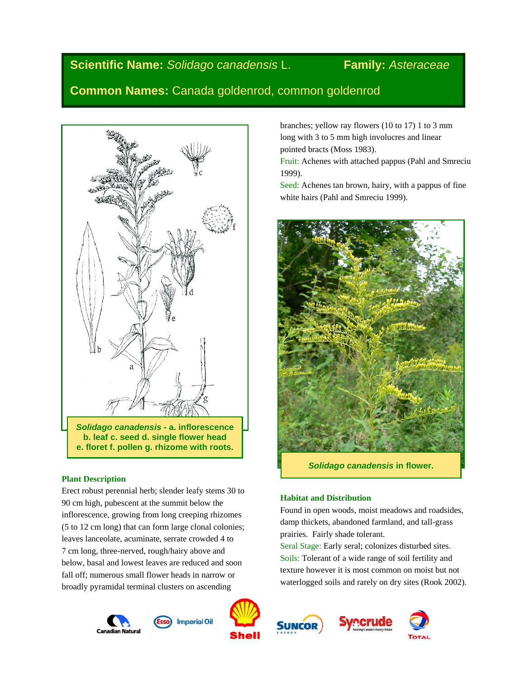# **Scientific Name:** *Solidago canadensis* L. **Family:** *Asteraceae*

**Common Names:** Canada goldenrod, common goldenrod



*Solidago canadensis* **- a. inflorescence b. leaf c. seed d. single flower head e. floret f. pollen g. rhizome with roots.**

# **Plant Description**

Erect robust perennial herb; slender leafy stems 30 to 90 cm high, pubescent at the summit below the inflorescence, growing from long creeping rhizomes (5 to 12 cm long) that can form large clonal colonies; leaves lanceolate, acuminate, serrate crowded 4 to 7 cm long, three-nerved, rough/hairy above and below, basal and lowest leaves are reduced and soon fall off; numerous small flower heads in narrow or broadly pyramidal terminal clusters on ascending





**SUNCOR** 







branches; yellow ray flowers (10 to 17) 1 to 3 mm long with 3 to 5 mm high involucres and linear pointed bracts (Moss 1983).

Fruit: Achenes with attached pappus (Pahl and Smreciu 1999).

Seed: Achenes tan brown, hairy, with a pappus of fine white hairs (Pahl and Smreciu 1999).



# **Habitat and Distribution**

Found in open woods, moist meadows and roadsides, damp thickets, abandoned farmland, and tall-grass prairies. Fairly shade tolerant.

Seral Stage: Early seral; colonizes disturbed sites. Soils: Tolerant of a wide range of soil fertility and texture however it is most common on moist but not waterlogged soils and rarely on dry sites (Rook 2002).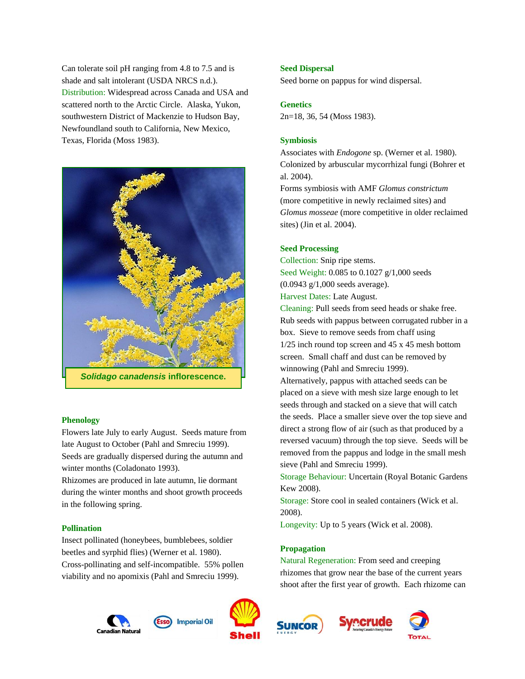Can tolerate soil pH ranging from 4.8 to 7.5 and is shade and salt intolerant (USDA NRCS n.d.). Distribution: Widespread across Canada and USA and scattered north to the Arctic Circle. Alaska, Yukon, southwestern District of Mackenzie to Hudson Bay, Newfoundland south to California, New Mexico, Texas, Florida (Moss 1983).



#### **Phenology**

Flowers late July to early August. Seeds mature from late August to October (Pahl and Smreciu 1999). Seeds are gradually dispersed during the autumn and winter months (Coladonato 1993).

Rhizomes are produced in late autumn, lie dormant during the winter months and shoot growth proceeds in the following spring.

#### **Pollination**

Insect pollinated (honeybees, bumblebees, soldier beetles and syrphid flies) (Werner et al. 1980). Cross-pollinating and self-incompatible. 55% pollen viability and no apomixis (Pahl and Smreciu 1999).

# al. 2004).

Forms symbiosis with AMF *Glomus constrictum* (more competitive in newly reclaimed sites) and *Glomus mosseae* (more competitive in older reclaimed sites) (Jin et al. 2004).

Associates with *Endogone* sp. (Werner et al. 1980). Colonized by arbuscular mycorrhizal fungi (Bohrer et

#### **Seed Processing**

**Seed Dispersal**

**Genetics**

**Symbiosis**

Collection: Snip ripe stems. Seed Weight: 0.085 to 0.1027 g/1,000 seeds (0.0943 g/1,000 seeds average).

Seed borne on pappus for wind dispersal.

2n=18, 36, 54 (Moss 1983).

Harvest Dates: Late August.

Cleaning: Pull seeds from seed heads or shake free. Rub seeds with pappus between corrugated rubber in a box. Sieve to remove seeds from chaff using 1/25 inch round top screen and 45 x 45 mesh bottom screen. Small chaff and dust can be removed by winnowing (Pahl and Smreciu 1999).

Alternatively, pappus with attached seeds can be placed on a sieve with mesh size large enough to let seeds through and stacked on a sieve that will catch the seeds. Place a smaller sieve over the top sieve and direct a strong flow of air (such as that produced by a reversed vacuum) through the top sieve. Seeds will be removed from the pappus and lodge in the small mesh sieve (Pahl and Smreciu 1999).

Storage Behaviour: Uncertain (Royal Botanic Gardens Kew 2008).

Storage: Store cool in sealed containers (Wick et al. 2008).

Longevity: Up to 5 years (Wick et al. 2008).

#### **Propagation**

Natural Regeneration: From seed and creeping rhizomes that grow near the base of the current years shoot after the first year of growth. Each rhizome can







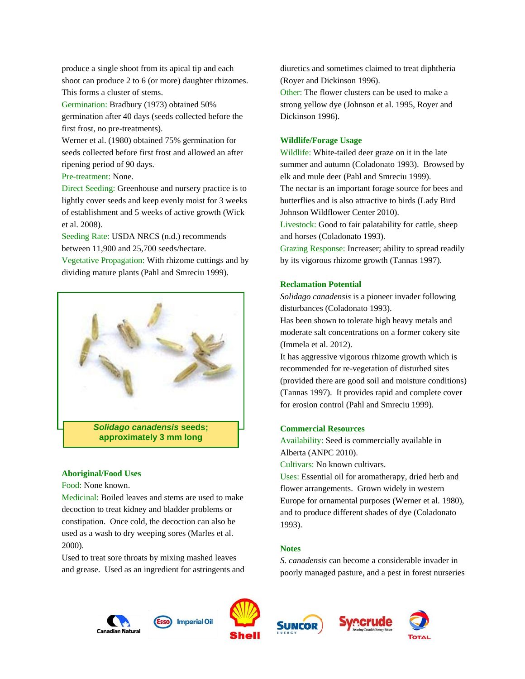produce a single shoot from its apical tip and each shoot can produce 2 to 6 (or more) daughter rhizomes. This forms a cluster of stems.

Germination: Bradbury (1973) obtained 50% germination after 40 days (seeds collected before the first frost, no pre-treatments).

Werner et al. (1980) obtained 75% germination for seeds collected before first frost and allowed an after ripening period of 90 days.

Pre-treatment: None.

Direct Seeding: Greenhouse and nursery practice is to lightly cover seeds and keep evenly moist for 3 weeks of establishment and 5 weeks of active growth (Wick et al. 2008).

Seeding Rate: USDA NRCS (n.d.) recommends between 11,900 and 25,700 seeds/hectare.

Vegetative Propagation: With rhizome cuttings and by dividing mature plants (Pahl and Smreciu 1999).



#### **Aboriginal/Food Uses**

Food: None known.

Medicinal: Boiled leaves and stems are used to make decoction to treat kidney and bladder problems or constipation. Once cold, the decoction can also be used as a wash to dry weeping sores (Marles et al. 2000).

Used to treat sore throats by mixing mashed leaves and grease. Used as an ingredient for astringents and diuretics and sometimes claimed to treat diphtheria (Royer and Dickinson 1996). Other: The flower clusters can be used to make a strong yellow dye (Johnson et al. 1995, Royer and Dickinson 1996).

#### **Wildlife/Forage Usage**

Wildlife: White-tailed deer graze on it in the late summer and autumn (Coladonato 1993). Browsed by elk and mule deer (Pahl and Smreciu 1999). The nectar is an important forage source for bees and butterflies and is also attractive to birds (Lady Bird Johnson Wildflower Center 2010).

Livestock: Good to fair palatability for cattle, sheep and horses (Coladonato 1993).

Grazing Response: Increaser; ability to spread readily by its vigorous rhizome growth (Tannas 1997).

#### **Reclamation Potential**

*Solidago canadensis* is a pioneer invader following disturbances (Coladonato 1993).

Has been shown to tolerate high heavy metals and moderate salt concentrations on a former cokery site (Immela et al. 2012).

It has aggressive vigorous rhizome growth which is recommended for re-vegetation of disturbed sites (provided there are good soil and moisture conditions) (Tannas 1997). It provides rapid and complete cover for erosion control (Pahl and Smreciu 1999).

### **Commercial Resources**

Availability: Seed is commercially available in Alberta (ANPC 2010).

Cultivars: No known cultivars.

Uses: Essential oil for aromatherapy, dried herb and flower arrangements. Grown widely in western Europe for ornamental purposes (Werner et al. 1980), and to produce different shades of dye (Coladonato 1993).

## **Notes**

*S. canadensis* can become a considerable invader in poorly managed pasture, and a pest in forest nurseries









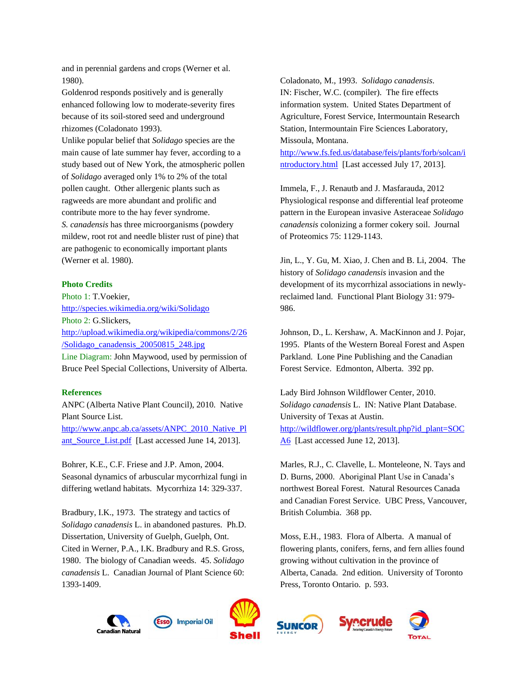and in perennial gardens and crops (Werner et al. 1980).

Goldenrod responds positively and is generally enhanced following low to moderate-severity fires because of its soil-stored seed and underground rhizomes (Coladonato 1993).

Unlike popular belief that *Solidago* species are the main cause of late summer hay fever, according to a study based out of New York, the atmospheric pollen of *Solidago* averaged only 1% to 2% of the total pollen caught. Other allergenic plants such as ragweeds are more abundant and prolific and contribute more to the hay fever syndrome. *S. canadensis* has three microorganisms (powdery mildew, root rot and needle blister rust of pine) that are pathogenic to economically important plants (Werner et al. 1980).

#### **Photo Credits**

Photo 1: T.Voekier, <http://species.wikimedia.org/wiki/Solidago> Photo 2: G.Slickers, [http://upload.wikimedia.org/wikipedia/commons/2/26](http://upload.wikimedia.org/wikipedia/commons/2/26/Solidago_canadensis_20050815_248.jpg) [/Solidago\\_canadensis\\_20050815\\_248.jpg](http://upload.wikimedia.org/wikipedia/commons/2/26/Solidago_canadensis_20050815_248.jpg) Line Diagram: John Maywood, used by permission of Bruce Peel Special Collections, University of Alberta.

#### **References**

ANPC (Alberta Native Plant Council), 2010. Native Plant Source List. [http://www.anpc.ab.ca/assets/ANPC\\_2010\\_Native\\_Pl](http://www.anpc.ab.ca/assets/ANPC_2010_Native_Plant_Source_List.pdf) [ant\\_Source\\_List.pdf](http://www.anpc.ab.ca/assets/ANPC_2010_Native_Plant_Source_List.pdf) [Last accessed June 14, 2013].

Bohrer, K.E., C.F. Friese and J.P. Amon, 2004. Seasonal dynamics of arbuscular mycorrhizal fungi in differing wetland habitats. Mycorrhiza 14: 329-337.

Bradbury, I.K., 1973. The strategy and tactics of *Solidago canadensis* L. in abandoned pastures. Ph.D. Dissertation, University of Guelph, Guelph, Ont. Cited in Werner, P.A., I.K. Bradbury and R.S. Gross, 1980. The biology of Canadian weeds. 45. *Solidago canadensis* L. Canadian Journal of Plant Science 60: 1393-1409.

Coladonato, M., 1993. *Solidago canadensis*. IN: Fischer, W.C. (compiler). The fire effects information system. United States Department of Agriculture, Forest Service, Intermountain Research Station, Intermountain Fire Sciences Laboratory, Missoula, Montana.

[http://www.fs.fed.us/database/feis/plants/forb/solcan/i](http://www.fs.fed.us/database/feis/plants/forb/solcan/introductory.html) [ntroductory.html](http://www.fs.fed.us/database/feis/plants/forb/solcan/introductory.html) [Last accessed July 17, 2013].

Immela, F., J. Renautb and J. Masfarauda, 2012 Physiological response and differential leaf proteome pattern in the European invasive Asteraceae *Solidago canadensis* colonizing a former cokery soil. Journal of Proteomics 75: 1129-1143.

Jin, L., Y. Gu, M. Xiao, J. Chen and B. Li, 2004. The history of *Solidago canadensis* invasion and the development of its mycorrhizal associations in newlyreclaimed land. Functional Plant Biology 31: 979- 986.

Johnson, D., L. Kershaw, A. MacKinnon and J. Pojar, 1995. Plants of the Western Boreal Forest and Aspen Parkland. Lone Pine Publishing and the Canadian Forest Service. Edmonton, Alberta. 392 pp.

Lady Bird Johnson Wildflower Center, 2010. *Solidago canadensis* L. IN: Native Plant Database. University of Texas at Austin. [http://wildflower.org/plants/result.php?id\\_plant=SOC](http://wildflower.org/plants/result.php?id_plant=SOCA6) [A6](http://wildflower.org/plants/result.php?id_plant=SOCA6) [Last accessed June 12, 2013].

Marles, R.J., C. Clavelle, L. Monteleone, N. Tays and D. Burns, 2000. Aboriginal Plant Use in Canada's northwest Boreal Forest. Natural Resources Canada and Canadian Forest Service. UBC Press, Vancouver, British Columbia. 368 pp.

Moss, E.H., 1983. Flora of Alberta. A manual of flowering plants, conifers, ferns, and fern allies found growing without cultivation in the province of Alberta, Canada. 2nd edition. University of Toronto Press, Toronto Ontario. p. 593.